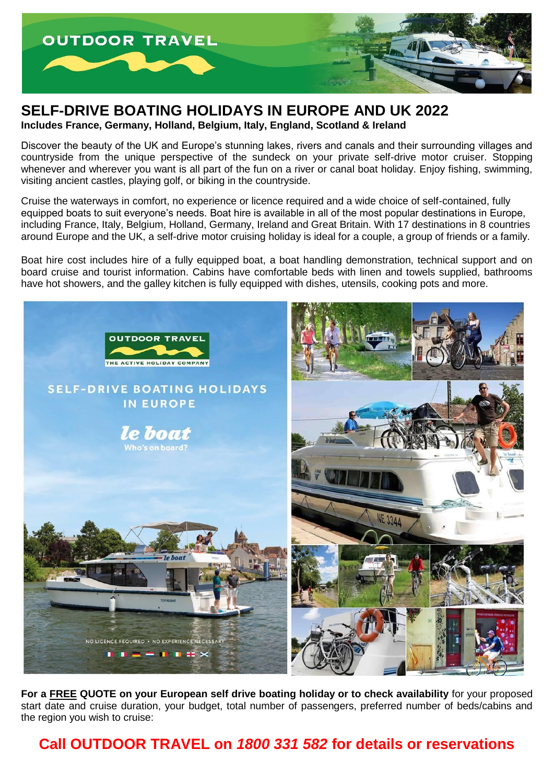

## **SELF-DRIVE BOATING HOLIDAYS IN EUROPE AND UK 2022**

**Includes France, Germany, Holland, Belgium, Italy, England, Scotland & Ireland**

Discover the beauty of the UK and Europe's stunning lakes, rivers and canals and their surrounding villages and countryside from the unique perspective of the sundeck on your private self-drive motor cruiser. Stopping whenever and wherever you want is all part of the fun on a river or canal boat holiday. Enjoy fishing, swimming, visiting ancient castles, playing golf, or biking in the countryside.

Cruise the waterways in comfort, no experience or licence required and a wide choice of self-contained, fully equipped boats to suit everyone's needs. Boat hire is available in all of the most popular destinations in Europe, including France, Italy, Belgium, Holland, Germany, Ireland and Great Britain. With 17 destinations in 8 countries around Europe and the UK, a self-drive motor cruising holiday is ideal for a couple, a group of friends or a family.

Boat hire cost includes hire of a fully equipped boat, a boat handling demonstration, technical support and on board cruise and tourist information. Cabins have comfortable beds with linen and towels supplied, bathrooms have hot showers, and the galley kitchen is fully equipped with dishes, utensils, cooking pots and more.



**For a FREE QUOTE on your European self drive boating holiday or to check availability** for your proposed start date and cruise duration, your budget, total number of passengers, preferred number of beds/cabins and the region you wish to cruise:

**Call OUTDOOR TRAVEL on** *1800 331 582* **for details or reservations**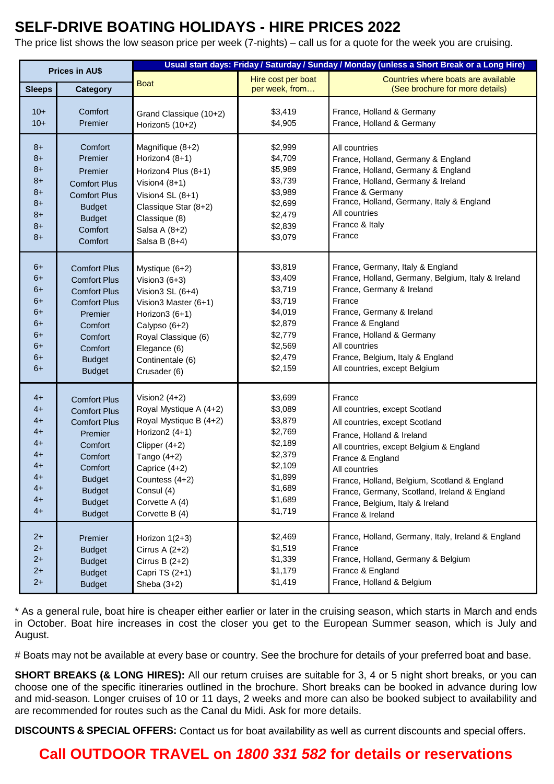# **SELF-DRIVE BOATING HOLIDAYS - HIRE PRICES 2022**

The price list shows the low season price per week (7-nights) – call us for a quote for the week you are cruising.

| <b>Prices in AU\$</b> |                     | Usual start days: Friday / Saturday / Sunday / Monday (unless a Short Break or a Long Hire) |                    |                                                    |  |
|-----------------------|---------------------|---------------------------------------------------------------------------------------------|--------------------|----------------------------------------------------|--|
|                       |                     | <b>Boat</b>                                                                                 | Hire cost per boat | Countries where boats are available                |  |
| <b>Sleeps</b>         | <b>Category</b>     |                                                                                             | per week, from     | (See brochure for more details)                    |  |
| $10+$                 | Comfort             | Grand Classique (10+2)                                                                      | \$3,419            | France, Holland & Germany                          |  |
| $10+$                 | Premier             | Horizon5 (10+2)                                                                             | \$4,905            | France, Holland & Germany                          |  |
| $8+$                  | Comfort             | Magnifique (8+2)                                                                            | \$2,999            | All countries                                      |  |
| $8+$                  | Premier             | Horizon4 (8+1)                                                                              | \$4,709            | France, Holland, Germany & England                 |  |
| $8+$                  | Premier             | Horizon4 Plus (8+1)                                                                         | \$5,989            | France, Holland, Germany & England                 |  |
| $8+$                  | <b>Comfort Plus</b> | Vision $4(8+1)$                                                                             | \$3,739            | France, Holland, Germany & Ireland                 |  |
| $8+$                  | <b>Comfort Plus</b> | Vision 4 SL $(8+1)$                                                                         | \$3,989            | France & Germany                                   |  |
| $8+$                  | <b>Budget</b>       | Classique Star (8+2)                                                                        | \$2,699            | France, Holland, Germany, Italy & England          |  |
| $8+$                  | <b>Budget</b>       | Classique (8)                                                                               | \$2,479            | All countries                                      |  |
| $8+$                  | Comfort             | Salsa A (8+2)                                                                               | \$2,839            | France & Italy                                     |  |
| $8+$                  | Comfort             | Salsa B (8+4)                                                                               | \$3,079            | France                                             |  |
| $6+$                  | <b>Comfort Plus</b> | Mystique (6+2)                                                                              | \$3,819            | France, Germany, Italy & England                   |  |
| $6+$                  | <b>Comfort Plus</b> | Vision $3(6+3)$                                                                             | \$3,409            | France, Holland, Germany, Belgium, Italy & Ireland |  |
| $6+$                  | <b>Comfort Plus</b> | Vision $3$ SL $(6+4)$                                                                       | \$3,719            | France, Germany & Ireland                          |  |
| $6+$                  | <b>Comfort Plus</b> | Vision3 Master (6+1)                                                                        | \$3,719            | France                                             |  |
| $6+$                  | Premier             | Horizon3 (6+1)                                                                              | \$4,019            | France, Germany & Ireland                          |  |
| $6+$                  | Comfort             | Calypso (6+2)                                                                               | \$2,879            | France & England                                   |  |
| $6+$                  | Comfort             | Royal Classique (6)                                                                         | \$2,779            | France, Holland & Germany                          |  |
| $6+$                  | Comfort             | Elegance (6)                                                                                | \$2,569            | All countries                                      |  |
| $6+$                  | <b>Budget</b>       | Continentale (6)                                                                            | \$2,479            | France, Belgium, Italy & England                   |  |
| $6+$                  | <b>Budget</b>       | Crusader (6)                                                                                | \$2,159            | All countries, except Belgium                      |  |
| $4+$                  | <b>Comfort Plus</b> | Vision2 $(4+2)$                                                                             | \$3,699            | France                                             |  |
| $4+$                  | <b>Comfort Plus</b> | Royal Mystique A (4+2)                                                                      | \$3,089            | All countries, except Scotland                     |  |
| $4+$                  | <b>Comfort Plus</b> | Royal Mystique B (4+2)                                                                      | \$3,879            | All countries, except Scotland                     |  |
| $4+$                  | Premier             | Horizon2 (4+1)                                                                              | \$2,769            | France, Holland & Ireland                          |  |
| $4+$                  | Comfort             | Clipper $(4+2)$                                                                             | \$2,189            | All countries, except Belgium & England            |  |
| $4+$                  | Comfort             | Tango (4+2)                                                                                 | \$2,379            | France & England                                   |  |
| $4+$                  | Comfort             | Caprice (4+2)                                                                               | \$2,109            | All countries                                      |  |
| $4+$                  | <b>Budget</b>       | Countess (4+2)                                                                              | \$1,899            | France, Holland, Belgium, Scotland & England       |  |
| $4+$                  | <b>Budget</b>       | Consul (4)                                                                                  | \$1,689            | France, Germany, Scotland, Ireland & England       |  |
| $4+$                  | <b>Budget</b>       | Corvette A (4)                                                                              | \$1,689            | France, Belgium, Italy & Ireland                   |  |
| $4+$                  | <b>Budget</b>       | Corvette B (4)                                                                              | \$1,719            | France & Ireland                                   |  |
| $2+$                  | Premier             | Horizon 1(2+3)                                                                              | \$2,469            | France, Holland, Germany, Italy, Ireland & England |  |
| $2+$                  | <b>Budget</b>       | Cirrus A $(2+2)$                                                                            | \$1,519            | France                                             |  |
| $2+$                  | <b>Budget</b>       | Cirrus B $(2+2)$                                                                            | \$1,339            | France, Holland, Germany & Belgium                 |  |
| $2+$                  | <b>Budget</b>       | Capri TS (2+1)                                                                              | \$1,179            | France & England                                   |  |
| $2+$                  | <b>Budget</b>       | Sheba (3+2)                                                                                 | \$1,419            | France, Holland & Belgium                          |  |

\* As a general rule, boat hire is cheaper either earlier or later in the cruising season, which starts in March and ends in October. Boat hire increases in cost the closer you get to the European Summer season, which is July and August.

# Boats may not be available at every base or country. See the brochure for details of your preferred boat and base.

**SHORT BREAKS (& LONG HIRES):** All our return cruises are suitable for 3, 4 or 5 night short breaks, or you can choose one of the specific itineraries outlined in the brochure. Short breaks can be booked in advance during low and mid-season. Longer cruises of 10 or 11 days, 2 weeks and more can also be booked subject to availability and are recommended for routes such as the Canal du Midi. Ask for more details.

**DISCOUNTS & SPECIAL OFFERS:** Contact us for boat availability as well as current discounts and special offers.

# **Call OUTDOOR TRAVEL on** *1800 331 582* **for details or reservations**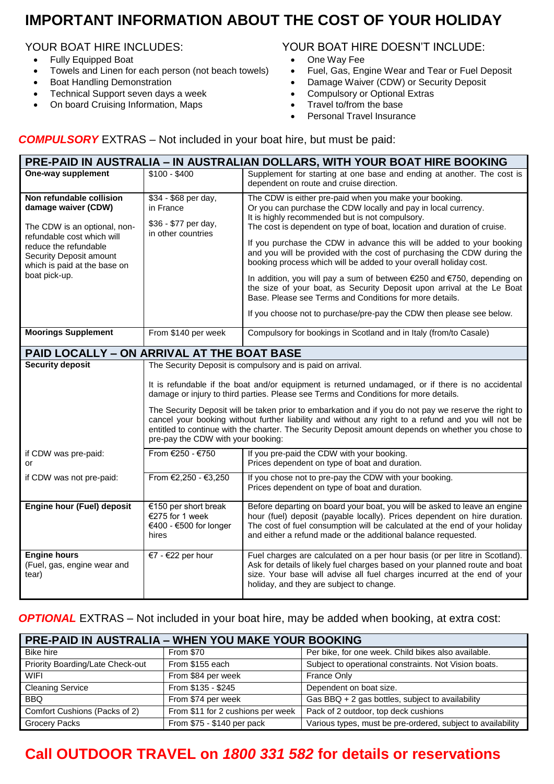# **IMPORTANT INFORMATION ABOUT THE COST OF YOUR HOLIDAY**

- Fully Equipped Boat **One Way Fee Way Fee Way Fee Way Fee Way Fee Way Fee Way Fee Way Fee Way Fee Way Fee Way Fee Way Fee Way Fee Way Fee Way Fee Way Fee Way Fee Way Fee Way Fee Way Fee Way Fee Way Fee Way Fee Way Fee Way**
- Towels and Linen for each person (not beach towels) Fuel, Gas, Engine Wear and Tear or Fuel Deposit<br>• Boat Handling Demonstration **•** Damage Waiver (CDW) or Security Deposit
- 
- Technical Support seven days a week **Compulsory or Optional Compulsory or Optional**<br>
On board Cruising Information, Maps **COMPU COMPUTE COMPUTE COMPUTE COMPUTE CONT**
- On board Cruising Information, Maps **Travel to base**

# YOUR BOAT HIRE INCLUDES:<br>
• Fully Equipped Boat **And Accept Condensation**<br>
• One Way Fee

- 
- 
- Boat Handling Demonstration <br>• Damage Waiver (CDW) or Security Deposit<br>• Compulsory or Optional Extras
	-
	-
	- Personal Travel Insurance

### *COMPULSORY* EXTRAS – Not included in your boat hire, but must be paid:

| PRE-PAID IN AUSTRALIA – IN AUSTRALIAN DOLLARS, WITH YOUR BOAT HIRE BOOKING |
|----------------------------------------------------------------------------|
|----------------------------------------------------------------------------|

| One-way supplement                                                                                                                                                                                                 | $$100 - $400$                                                                                                                                                                                                                                                                                                                                            | Supplement for starting at one base and ending at another. The cost is<br>dependent on route and cruise direction.                                                                                                                                                                                                                                                                                                                                                                                                                                                                                                                                                                                                                                                                         |  |  |  |  |
|--------------------------------------------------------------------------------------------------------------------------------------------------------------------------------------------------------------------|----------------------------------------------------------------------------------------------------------------------------------------------------------------------------------------------------------------------------------------------------------------------------------------------------------------------------------------------------------|--------------------------------------------------------------------------------------------------------------------------------------------------------------------------------------------------------------------------------------------------------------------------------------------------------------------------------------------------------------------------------------------------------------------------------------------------------------------------------------------------------------------------------------------------------------------------------------------------------------------------------------------------------------------------------------------------------------------------------------------------------------------------------------------|--|--|--|--|
| Non refundable collision<br>damage waiver (CDW)<br>The CDW is an optional, non-<br>refundable cost which will<br>reduce the refundable<br>Security Deposit amount<br>which is paid at the base on<br>boat pick-up. | \$34 - \$68 per day,<br>in France<br>\$36 - \$77 per day,<br>in other countries                                                                                                                                                                                                                                                                          | The CDW is either pre-paid when you make your booking.<br>Or you can purchase the CDW locally and pay in local currency.<br>It is highly recommended but is not compulsory.<br>The cost is dependent on type of boat, location and duration of cruise.<br>If you purchase the CDW in advance this will be added to your booking<br>and you will be provided with the cost of purchasing the CDW during the<br>booking process which will be added to your overall holiday cost.<br>In addition, you will pay a sum of between $\epsilon$ 250 and $\epsilon$ 750, depending on<br>the size of your boat, as Security Deposit upon arrival at the Le Boat<br>Base. Please see Terms and Conditions for more details.<br>If you choose not to purchase/pre-pay the CDW then please see below. |  |  |  |  |
| <b>Moorings Supplement</b>                                                                                                                                                                                         | From \$140 per week                                                                                                                                                                                                                                                                                                                                      | Compulsory for bookings in Scotland and in Italy (from/to Casale)                                                                                                                                                                                                                                                                                                                                                                                                                                                                                                                                                                                                                                                                                                                          |  |  |  |  |
| <b>PAID LOCALLY - ON ARRIVAL AT THE BOAT BASE</b>                                                                                                                                                                  |                                                                                                                                                                                                                                                                                                                                                          |                                                                                                                                                                                                                                                                                                                                                                                                                                                                                                                                                                                                                                                                                                                                                                                            |  |  |  |  |
| <b>Security deposit</b>                                                                                                                                                                                            | The Security Deposit is compulsory and is paid on arrival.                                                                                                                                                                                                                                                                                               |                                                                                                                                                                                                                                                                                                                                                                                                                                                                                                                                                                                                                                                                                                                                                                                            |  |  |  |  |
|                                                                                                                                                                                                                    | It is refundable if the boat and/or equipment is returned undamaged, or if there is no accidental<br>damage or injury to third parties. Please see Terms and Conditions for more details.                                                                                                                                                                |                                                                                                                                                                                                                                                                                                                                                                                                                                                                                                                                                                                                                                                                                                                                                                                            |  |  |  |  |
|                                                                                                                                                                                                                    | The Security Deposit will be taken prior to embarkation and if you do not pay we reserve the right to<br>cancel your booking without further liability and without any right to a refund and you will not be<br>entitled to continue with the charter. The Security Deposit amount depends on whether you chose to<br>pre-pay the CDW with your booking: |                                                                                                                                                                                                                                                                                                                                                                                                                                                                                                                                                                                                                                                                                                                                                                                            |  |  |  |  |
| if CDW was pre-paid:<br>or                                                                                                                                                                                         | From €250 - €750                                                                                                                                                                                                                                                                                                                                         | If you pre-paid the CDW with your booking.<br>Prices dependent on type of boat and duration.                                                                                                                                                                                                                                                                                                                                                                                                                                                                                                                                                                                                                                                                                               |  |  |  |  |
| if CDW was not pre-paid:                                                                                                                                                                                           | From €2,250 - €3,250                                                                                                                                                                                                                                                                                                                                     | If you chose not to pre-pay the CDW with your booking.<br>Prices dependent on type of boat and duration.                                                                                                                                                                                                                                                                                                                                                                                                                                                                                                                                                                                                                                                                                   |  |  |  |  |
| <b>Engine hour (Fuel) deposit</b>                                                                                                                                                                                  | €150 per short break<br>€275 for 1 week<br>€400 - €500 for longer<br>hires                                                                                                                                                                                                                                                                               | Before departing on board your boat, you will be asked to leave an engine<br>hour (fuel) deposit (payable locally). Prices dependent on hire duration.<br>The cost of fuel consumption will be calculated at the end of your holiday<br>and either a refund made or the additional balance requested.                                                                                                                                                                                                                                                                                                                                                                                                                                                                                      |  |  |  |  |
| <b>Engine hours</b><br>(Fuel, gas, engine wear and<br>tear)                                                                                                                                                        | €7 - €22 per hour                                                                                                                                                                                                                                                                                                                                        | Fuel charges are calculated on a per hour basis (or per litre in Scotland).<br>Ask for details of likely fuel charges based on your planned route and boat<br>size. Your base will advise all fuel charges incurred at the end of your<br>holiday, and they are subject to change.                                                                                                                                                                                                                                                                                                                                                                                                                                                                                                         |  |  |  |  |

### **OPTIONAL** EXTRAS – Not included in your boat hire, may be added when booking, at extra cost:

| <b>PRE-PAID IN AUSTRALIA - WHEN YOU MAKE YOUR BOOKING</b> |                                   |                                                             |  |  |  |  |
|-----------------------------------------------------------|-----------------------------------|-------------------------------------------------------------|--|--|--|--|
| <b>Bike hire</b>                                          | From \$70                         | Per bike, for one week. Child bikes also available.         |  |  |  |  |
| Priority Boarding/Late Check-out                          | From \$155 each                   | Subject to operational constraints. Not Vision boats.       |  |  |  |  |
| <b>WIFI</b>                                               | From \$84 per week                | France Only                                                 |  |  |  |  |
| <b>Cleaning Service</b>                                   | From \$135 - \$245                | Dependent on boat size.                                     |  |  |  |  |
| BBQ.                                                      | From \$74 per week                | Gas BBQ + 2 gas bottles, subject to availability            |  |  |  |  |
| Comfort Cushions (Packs of 2)                             | From \$11 for 2 cushions per week | Pack of 2 outdoor, top deck cushions                        |  |  |  |  |
| <b>Grocery Packs</b>                                      | From \$75 - \$140 per pack        | Various types, must be pre-ordered, subject to availability |  |  |  |  |

# **Call OUTDOOR TRAVEL on** *1800 331 582* **for details or reservations**